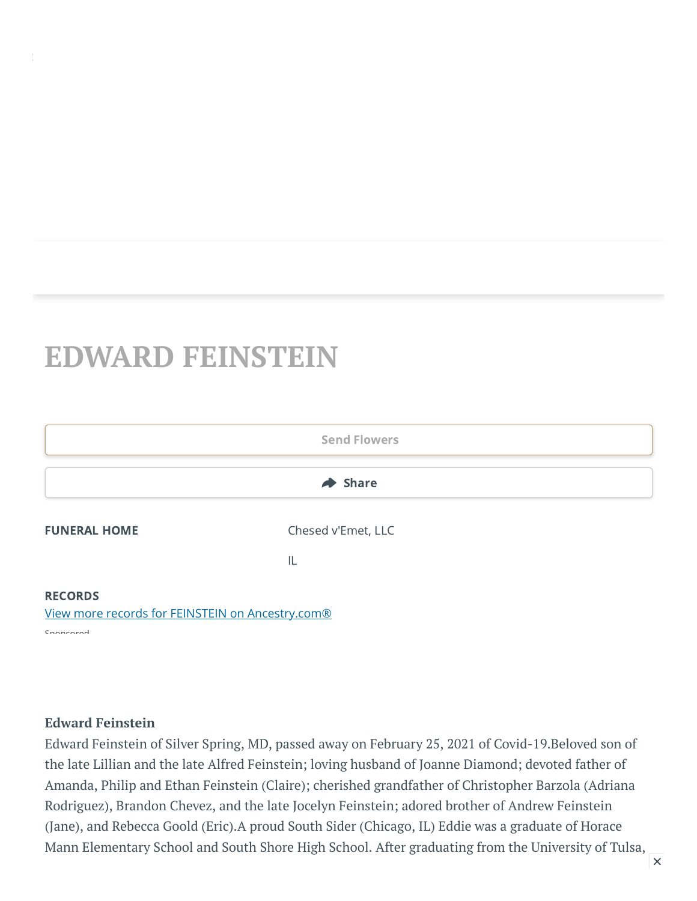## **EDWARD FEINSTEIN**



## **Edward Feinstein**

Edward Feinstein of Silver Spring, MD, passed away on February 25, 2021 of Covid-19.Beloved son of the late Lillian and the late Alfred Feinstein; loving husband of Joanne Diamond; devoted father of Amanda, Philip and Ethan Feinstein (Claire); cherished grandfather of Christopher Barzola (Adriana Rodriguez), Brandon Chevez, and the late Jocelyn Feinstein; adored brother of Andrew Feinstein (Jane), and Rebecca Goold (Eric).A proud South Sider (Chicago, IL) Eddie was a graduate of Horace Mann Elementary School and South Shore High School. After graduating from the University of Tulsa,